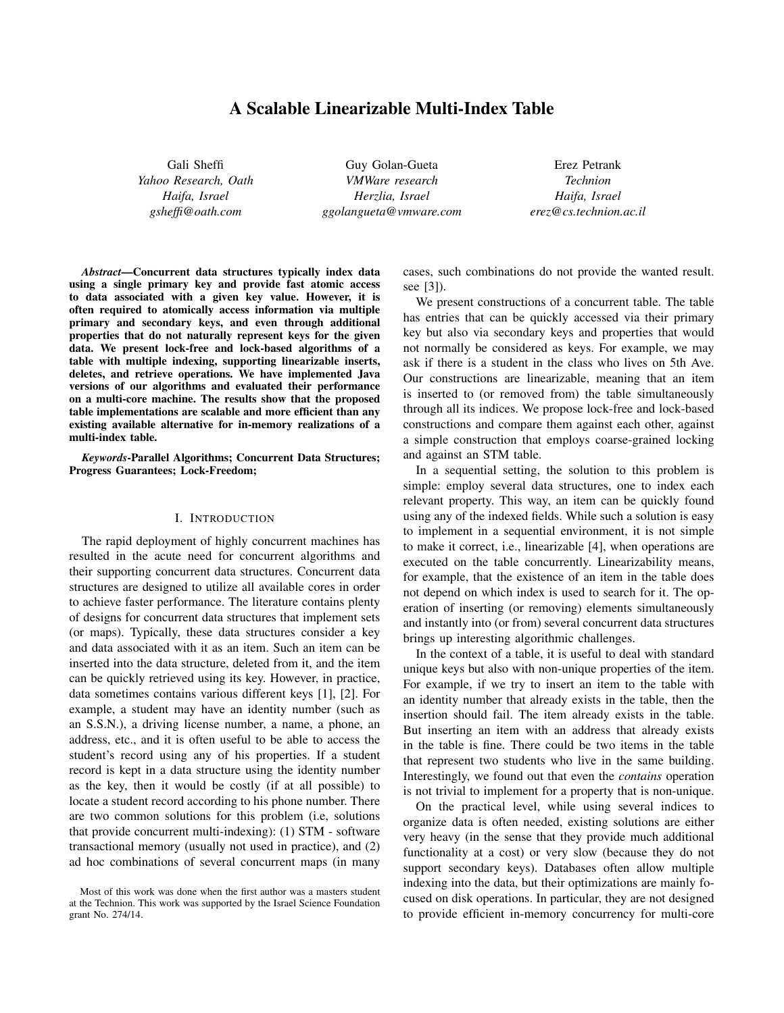# A Scalable Linearizable Multi-Index Table

Gali Sheffi *Yahoo Research, Oath Haifa, Israel gsheffi@oath.com*

Guy Golan-Gueta *VMWare research Herzlia, Israel ggolangueta@vmware.com*

Erez Petrank *Technion Haifa, Israel erez@cs.technion.ac.il*

*Abstract*—Concurrent data structures typically index data using a single primary key and provide fast atomic access to data associated with a given key value. However, it is often required to atomically access information via multiple primary and secondary keys, and even through additional properties that do not naturally represent keys for the given data. We present lock-free and lock-based algorithms of a table with multiple indexing, supporting linearizable inserts, deletes, and retrieve operations. We have implemented Java versions of our algorithms and evaluated their performance on a multi-core machine. The results show that the proposed table implementations are scalable and more efficient than any existing available alternative for in-memory realizations of a multi-index table.

*Keywords*-Parallel Algorithms; Concurrent Data Structures; Progress Guarantees; Lock-Freedom;

## I. INTRODUCTION

The rapid deployment of highly concurrent machines has resulted in the acute need for concurrent algorithms and their supporting concurrent data structures. Concurrent data structures are designed to utilize all available cores in order to achieve faster performance. The literature contains plenty of designs for concurrent data structures that implement sets (or maps). Typically, these data structures consider a key and data associated with it as an item. Such an item can be inserted into the data structure, deleted from it, and the item can be quickly retrieved using its key. However, in practice, data sometimes contains various different keys [1], [2]. For example, a student may have an identity number (such as an S.S.N.), a driving license number, a name, a phone, an address, etc., and it is often useful to be able to access the student's record using any of his properties. If a student record is kept in a data structure using the identity number as the key, then it would be costly (if at all possible) to locate a student record according to his phone number. There are two common solutions for this problem (i.e, solutions that provide concurrent multi-indexing): (1) STM - software transactional memory (usually not used in practice), and (2) ad hoc combinations of several concurrent maps (in many cases, such combinations do not provide the wanted result. see [3]).

We present constructions of a concurrent table. The table has entries that can be quickly accessed via their primary key but also via secondary keys and properties that would not normally be considered as keys. For example, we may ask if there is a student in the class who lives on 5th Ave. Our constructions are linearizable, meaning that an item is inserted to (or removed from) the table simultaneously through all its indices. We propose lock-free and lock-based constructions and compare them against each other, against a simple construction that employs coarse-grained locking and against an STM table.

In a sequential setting, the solution to this problem is simple: employ several data structures, one to index each relevant property. This way, an item can be quickly found using any of the indexed fields. While such a solution is easy to implement in a sequential environment, it is not simple to make it correct, i.e., linearizable [4], when operations are executed on the table concurrently. Linearizability means, for example, that the existence of an item in the table does not depend on which index is used to search for it. The operation of inserting (or removing) elements simultaneously and instantly into (or from) several concurrent data structures brings up interesting algorithmic challenges.

In the context of a table, it is useful to deal with standard unique keys but also with non-unique properties of the item. For example, if we try to insert an item to the table with an identity number that already exists in the table, then the insertion should fail. The item already exists in the table. But inserting an item with an address that already exists in the table is fine. There could be two items in the table that represent two students who live in the same building. Interestingly, we found out that even the *contains* operation is not trivial to implement for a property that is non-unique.

On the practical level, while using several indices to organize data is often needed, existing solutions are either very heavy (in the sense that they provide much additional functionality at a cost) or very slow (because they do not support secondary keys). Databases often allow multiple indexing into the data, but their optimizations are mainly focused on disk operations. In particular, they are not designed to provide efficient in-memory concurrency for multi-core

Most of this work was done when the first author was a masters student at the Technion. This work was supported by the Israel Science Foundation grant No. 274/14.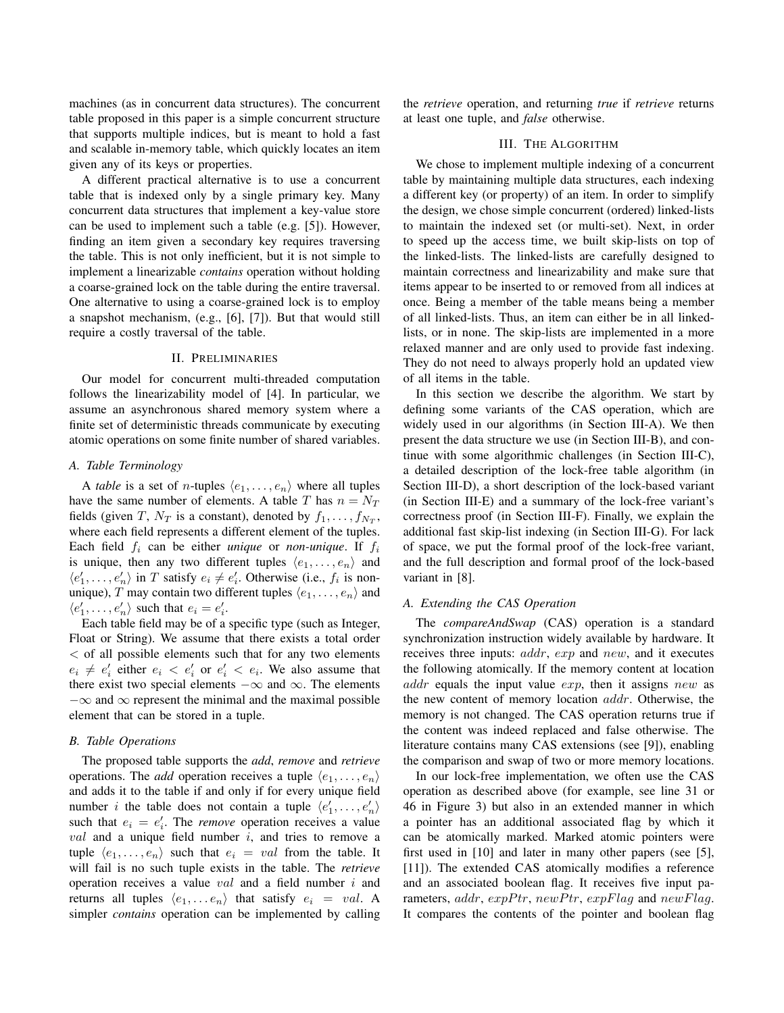machines (as in concurrent data structures). The concurrent table proposed in this paper is a simple concurrent structure that supports multiple indices, but is meant to hold a fast and scalable in-memory table, which quickly locates an item given any of its keys or properties.

A different practical alternative is to use a concurrent table that is indexed only by a single primary key. Many concurrent data structures that implement a key-value store can be used to implement such a table (e.g. [5]). However, finding an item given a secondary key requires traversing the table. This is not only inefficient, but it is not simple to implement a linearizable *contains* operation without holding a coarse-grained lock on the table during the entire traversal. One alternative to using a coarse-grained lock is to employ a snapshot mechanism, (e.g., [6], [7]). But that would still require a costly traversal of the table.

## II. PRELIMINARIES

Our model for concurrent multi-threaded computation follows the linearizability model of [4]. In particular, we assume an asynchronous shared memory system where a finite set of deterministic threads communicate by executing atomic operations on some finite number of shared variables.

## *A. Table Terminology*

A *table* is a set of *n*-tuples  $\langle e_1, \ldots, e_n \rangle$  where all tuples have the same number of elements. A table T has  $n = N_T$ fields (given T,  $N_T$  is a constant), denoted by  $f_1, \ldots, f_{N_T}$ , where each field represents a different element of the tuples. Each field  $f_i$  can be either *unique* or *non-unique*. If  $f_i$ is unique, then any two different tuples  $\langle e_1, \ldots, e_n \rangle$  and  $\langle e'_1, \ldots, e'_n \rangle$  in T satisfy  $e_i \neq e'_i$ . Otherwise (i.e.,  $f_i$  is nonunique), T may contain two different tuples  $\langle e_1, \ldots, e_n \rangle$  and  $\langle e'_1, \ldots, e'_n \rangle$  such that  $e_i = e'_i$ .

Each table field may be of a specific type (such as Integer, Float or String). We assume that there exists a total order < of all possible elements such that for any two elements  $e_i \neq e'_i$  either  $e_i < e'_i$  or  $e'_i < e_i$ . We also assume that there exist two special elements  $-\infty$  and  $\infty$ . The elements  $-\infty$  and  $\infty$  represent the minimal and the maximal possible element that can be stored in a tuple.

## *B. Table Operations*

The proposed table supports the *add*, *remove* and *retrieve* operations. The *add* operation receives a tuple  $\langle e_1, \ldots, e_n \rangle$ and adds it to the table if and only if for every unique field number *i* the table does not contain a tuple  $\langle e'_1, \ldots, e'_n \rangle$ such that  $e_i = e'_i$ . The *remove* operation receives a value  $val$  and a unique field number  $i$ , and tries to remove a tuple  $\langle e_1, \ldots, e_n \rangle$  such that  $e_i = val$  from the table. It will fail is no such tuple exists in the table. The *retrieve* operation receives a value  $val$  and a field number  $i$  and returns all tuples  $\langle e_1, \ldots e_n \rangle$  that satisfy  $e_i = val$ . A simpler *contains* operation can be implemented by calling the *retrieve* operation, and returning *true* if *retrieve* returns at least one tuple, and *false* otherwise.

#### III. THE ALGORITHM

We chose to implement multiple indexing of a concurrent table by maintaining multiple data structures, each indexing a different key (or property) of an item. In order to simplify the design, we chose simple concurrent (ordered) linked-lists to maintain the indexed set (or multi-set). Next, in order to speed up the access time, we built skip-lists on top of the linked-lists. The linked-lists are carefully designed to maintain correctness and linearizability and make sure that items appear to be inserted to or removed from all indices at once. Being a member of the table means being a member of all linked-lists. Thus, an item can either be in all linkedlists, or in none. The skip-lists are implemented in a more relaxed manner and are only used to provide fast indexing. They do not need to always properly hold an updated view of all items in the table.

In this section we describe the algorithm. We start by defining some variants of the CAS operation, which are widely used in our algorithms (in Section III-A). We then present the data structure we use (in Section III-B), and continue with some algorithmic challenges (in Section III-C), a detailed description of the lock-free table algorithm (in Section III-D), a short description of the lock-based variant (in Section III-E) and a summary of the lock-free variant's correctness proof (in Section III-F). Finally, we explain the additional fast skip-list indexing (in Section III-G). For lack of space, we put the formal proof of the lock-free variant, and the full description and formal proof of the lock-based variant in [8].

## *A. Extending the CAS Operation*

The *compareAndSwap* (CAS) operation is a standard synchronization instruction widely available by hardware. It receives three inputs: addr, exp and new, and it executes the following atomically. If the memory content at location addr equals the input value  $exp$ , then it assigns new as the new content of memory location addr. Otherwise, the memory is not changed. The CAS operation returns true if the content was indeed replaced and false otherwise. The literature contains many CAS extensions (see [9]), enabling the comparison and swap of two or more memory locations.

In our lock-free implementation, we often use the CAS operation as described above (for example, see line 31 or 46 in Figure 3) but also in an extended manner in which a pointer has an additional associated flag by which it can be atomically marked. Marked atomic pointers were first used in [10] and later in many other papers (see [5], [11]). The extended CAS atomically modifies a reference and an associated boolean flag. It receives five input parameters,  $addr$ ,  $expPtr$ ,  $newPtr$ ,  $expFlag$  and  $newFlag$ . It compares the contents of the pointer and boolean flag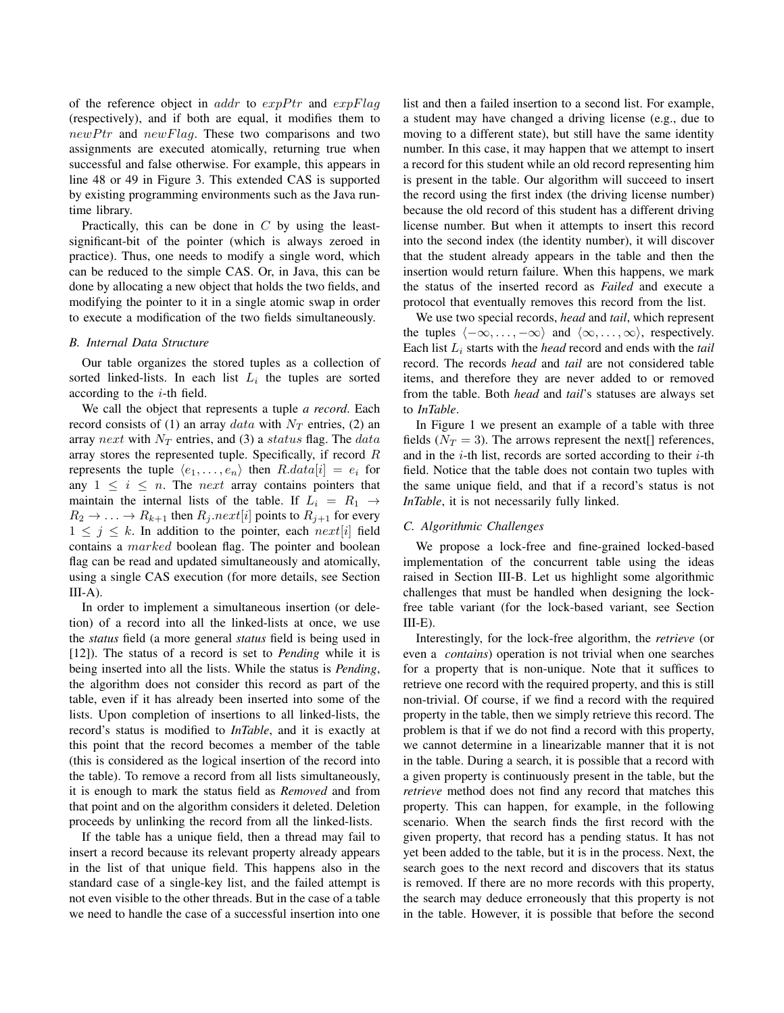of the reference object in addr to  $expPtr$  and  $expFlag$ (respectively), and if both are equal, it modifies them to  $newPtr$  and  $newFlag$ . These two comparisons and two assignments are executed atomically, returning true when successful and false otherwise. For example, this appears in line 48 or 49 in Figure 3. This extended CAS is supported by existing programming environments such as the Java runtime library.

Practically, this can be done in  $C$  by using the leastsignificant-bit of the pointer (which is always zeroed in practice). Thus, one needs to modify a single word, which can be reduced to the simple CAS. Or, in Java, this can be done by allocating a new object that holds the two fields, and modifying the pointer to it in a single atomic swap in order to execute a modification of the two fields simultaneously.

## *B. Internal Data Structure*

Our table organizes the stored tuples as a collection of sorted linked-lists. In each list  $L_i$  the tuples are sorted according to the  $i$ -th field.

We call the object that represents a tuple *a record*. Each record consists of (1) an array data with  $N_T$  entries, (2) an array next with  $N_T$  entries, and (3) a status flag. The data array stores the represented tuple. Specifically, if record  $R$ represents the tuple  $\langle e_1, \ldots, e_n \rangle$  then  $R.data[i] = e_i$  for any  $1 \leq i \leq n$ . The *next* array contains pointers that maintain the internal lists of the table. If  $L_i = R_1 \rightarrow$  $R_2 \rightarrow \ldots \rightarrow R_{k+1}$  then  $R_j.next[i]$  points to  $R_{j+1}$  for every  $1 \leq j \leq k$ . In addition to the pointer, each next[i] field contains a marked boolean flag. The pointer and boolean flag can be read and updated simultaneously and atomically, using a single CAS execution (for more details, see Section  $III-A$ ).

In order to implement a simultaneous insertion (or deletion) of a record into all the linked-lists at once, we use the *status* field (a more general *status* field is being used in [12]). The status of a record is set to *Pending* while it is being inserted into all the lists. While the status is *Pending*, the algorithm does not consider this record as part of the table, even if it has already been inserted into some of the lists. Upon completion of insertions to all linked-lists, the record's status is modified to *InTable*, and it is exactly at this point that the record becomes a member of the table (this is considered as the logical insertion of the record into the table). To remove a record from all lists simultaneously, it is enough to mark the status field as *Removed* and from that point and on the algorithm considers it deleted. Deletion proceeds by unlinking the record from all the linked-lists.

If the table has a unique field, then a thread may fail to insert a record because its relevant property already appears in the list of that unique field. This happens also in the standard case of a single-key list, and the failed attempt is not even visible to the other threads. But in the case of a table we need to handle the case of a successful insertion into one list and then a failed insertion to a second list. For example, a student may have changed a driving license (e.g., due to moving to a different state), but still have the same identity number. In this case, it may happen that we attempt to insert a record for this student while an old record representing him is present in the table. Our algorithm will succeed to insert the record using the first index (the driving license number) because the old record of this student has a different driving license number. But when it attempts to insert this record into the second index (the identity number), it will discover that the student already appears in the table and then the insertion would return failure. When this happens, we mark the status of the inserted record as *Failed* and execute a protocol that eventually removes this record from the list.

We use two special records, *head* and *tail*, which represent the tuples  $\langle -\infty, \ldots, -\infty \rangle$  and  $\langle \infty, \ldots, \infty \rangle$ , respectively. Each list L<sup>i</sup> starts with the *head* record and ends with the *tail* record. The records *head* and *tail* are not considered table items, and therefore they are never added to or removed from the table. Both *head* and *tail*'s statuses are always set to *InTable*.

In Figure 1 we present an example of a table with three fields ( $N_T = 3$ ). The arrows represent the next[] references, and in the  $i$ -th list, records are sorted according to their  $i$ -th field. Notice that the table does not contain two tuples with the same unique field, and that if a record's status is not *InTable*, it is not necessarily fully linked.

## *C. Algorithmic Challenges*

We propose a lock-free and fine-grained locked-based implementation of the concurrent table using the ideas raised in Section III-B. Let us highlight some algorithmic challenges that must be handled when designing the lockfree table variant (for the lock-based variant, see Section  $III-E$ ).

Interestingly, for the lock-free algorithm, the *retrieve* (or even a *contains*) operation is not trivial when one searches for a property that is non-unique. Note that it suffices to retrieve one record with the required property, and this is still non-trivial. Of course, if we find a record with the required property in the table, then we simply retrieve this record. The problem is that if we do not find a record with this property, we cannot determine in a linearizable manner that it is not in the table. During a search, it is possible that a record with a given property is continuously present in the table, but the *retrieve* method does not find any record that matches this property. This can happen, for example, in the following scenario. When the search finds the first record with the given property, that record has a pending status. It has not yet been added to the table, but it is in the process. Next, the search goes to the next record and discovers that its status is removed. If there are no more records with this property, the search may deduce erroneously that this property is not in the table. However, it is possible that before the second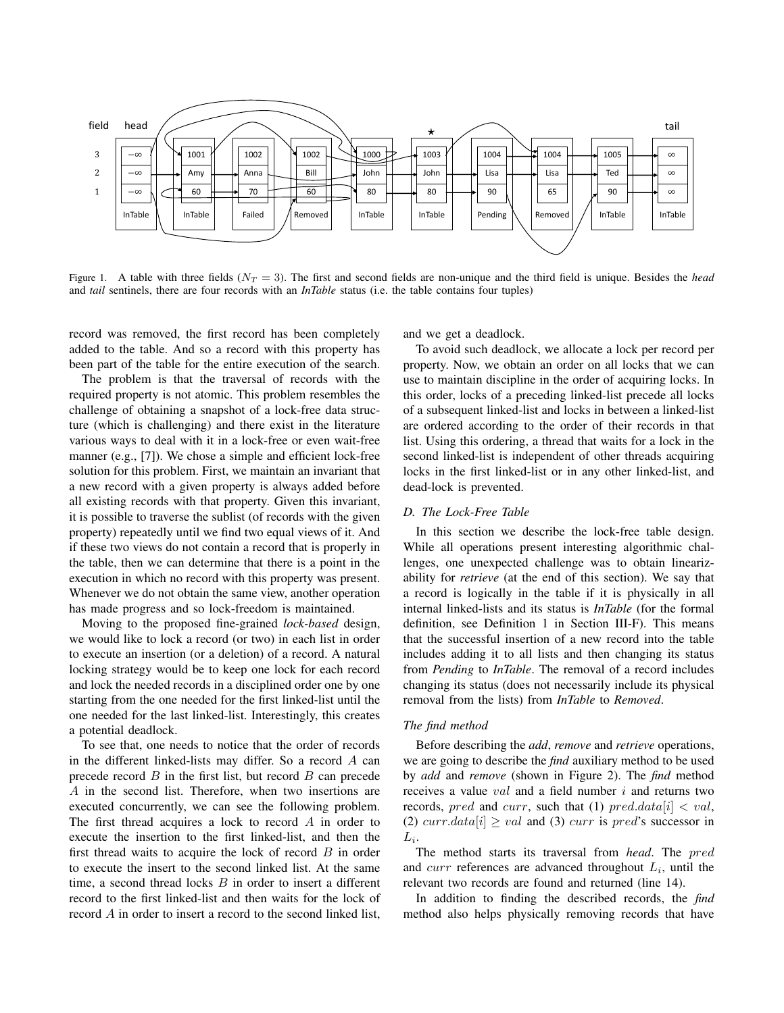

Figure 1. A table with three fields  $(N_T = 3)$ . The first and second fields are non-unique and the third field is unique. Besides the *head* and *tail* sentinels, there are four records with an *InTable* status (i.e. the table contains four tuples)

record was removed, the first record has been completely added to the table. And so a record with this property has been part of the table for the entire execution of the search.

The problem is that the traversal of records with the required property is not atomic. This problem resembles the challenge of obtaining a snapshot of a lock-free data structure (which is challenging) and there exist in the literature various ways to deal with it in a lock-free or even wait-free manner (e.g., [7]). We chose a simple and efficient lock-free solution for this problem. First, we maintain an invariant that a new record with a given property is always added before all existing records with that property. Given this invariant, it is possible to traverse the sublist (of records with the given property) repeatedly until we find two equal views of it. And if these two views do not contain a record that is properly in the table, then we can determine that there is a point in the execution in which no record with this property was present. Whenever we do not obtain the same view, another operation has made progress and so lock-freedom is maintained.

Moving to the proposed fine-grained *lock-based* design, we would like to lock a record (or two) in each list in order to execute an insertion (or a deletion) of a record. A natural locking strategy would be to keep one lock for each record and lock the needed records in a disciplined order one by one starting from the one needed for the first linked-list until the one needed for the last linked-list. Interestingly, this creates a potential deadlock.

To see that, one needs to notice that the order of records in the different linked-lists may differ. So a record  $A$  can precede record  $B$  in the first list, but record  $B$  can precede A in the second list. Therefore, when two insertions are executed concurrently, we can see the following problem. The first thread acquires a lock to record A in order to execute the insertion to the first linked-list, and then the first thread waits to acquire the lock of record  $B$  in order to execute the insert to the second linked list. At the same time, a second thread locks  $B$  in order to insert a different record to the first linked-list and then waits for the lock of record A in order to insert a record to the second linked list, and we get a deadlock.

To avoid such deadlock, we allocate a lock per record per property. Now, we obtain an order on all locks that we can use to maintain discipline in the order of acquiring locks. In this order, locks of a preceding linked-list precede all locks of a subsequent linked-list and locks in between a linked-list are ordered according to the order of their records in that list. Using this ordering, a thread that waits for a lock in the second linked-list is independent of other threads acquiring locks in the first linked-list or in any other linked-list, and dead-lock is prevented.

#### *D. The Lock-Free Table*

In this section we describe the lock-free table design. While all operations present interesting algorithmic challenges, one unexpected challenge was to obtain linearizability for *retrieve* (at the end of this section). We say that a record is logically in the table if it is physically in all internal linked-lists and its status is *InTable* (for the formal definition, see Definition 1 in Section III-F). This means that the successful insertion of a new record into the table includes adding it to all lists and then changing its status from *Pending* to *InTable*. The removal of a record includes changing its status (does not necessarily include its physical removal from the lists) from *InTable* to *Removed*.

### *The find method*

Before describing the *add*, *remove* and *retrieve* operations, we are going to describe the *find* auxiliary method to be used by *add* and *remove* (shown in Figure 2). The *find* method receives a value val and a field number i and returns two records, pred and curr, such that (1) pred.data  $|i| < val$ , (2) curr.data[i]  $\geq$  val and (3) curr is pred's successor in  $L_i$ .

The method starts its traversal from *head*. The pred and  $curr$  references are advanced throughout  $L_i$ , until the relevant two records are found and returned (line 14).

In addition to finding the described records, the *find* method also helps physically removing records that have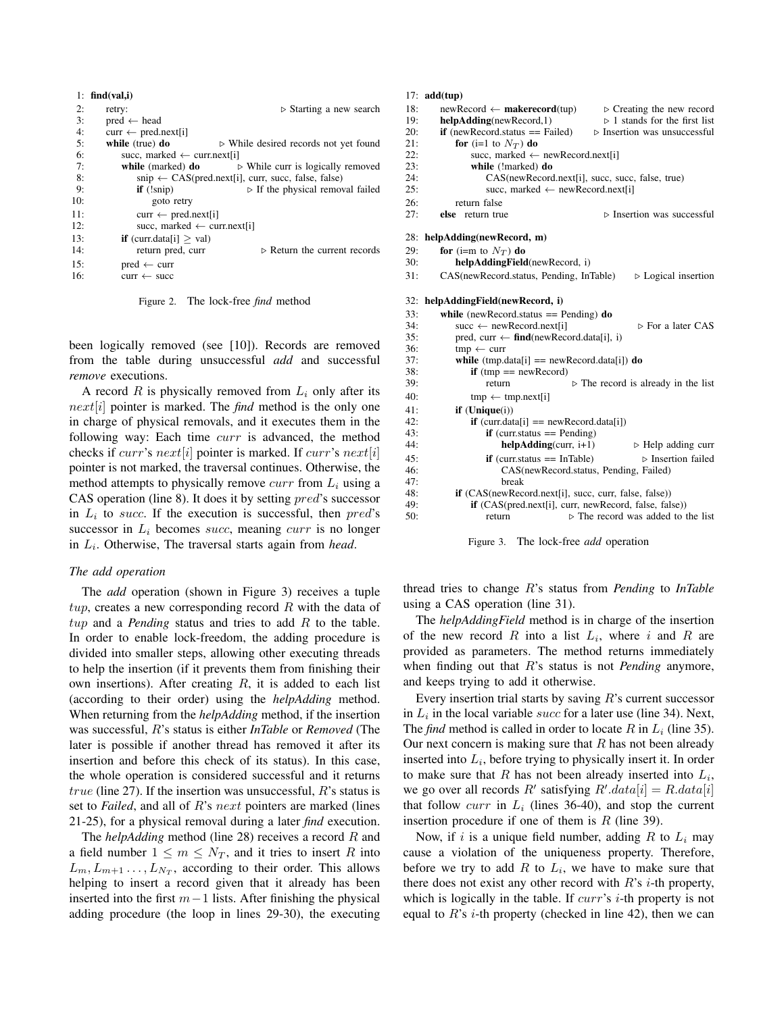|     | 1: find(val, i)                        |                                                                                                             |
|-----|----------------------------------------|-------------------------------------------------------------------------------------------------------------|
| 2:  | retry:                                 | $\triangleright$ Starting a new search                                                                      |
| 3:  | $pred \leftarrow head$                 |                                                                                                             |
| 4:  | $curr \leftarrow pred.next[i]$         |                                                                                                             |
| 5:  | while $(true)$ do                      | $\triangleright$ While desired records not yet found                                                        |
| 6:  | succ, marked $\leftarrow$ curr.next[i] |                                                                                                             |
| 7:  | while (marked) do                      | $\triangleright$ While curr is logically removed                                                            |
| 8:  |                                        | $\sin p \leftarrow \text{CAS}(\text{pred.next}[i], \text{ curr}, \text{ succ}, \text{false}, \text{false})$ |
| 9:  | $if$ $(!snip)$                         | $\triangleright$ If the physical removal failed                                                             |
| 10: | goto retry                             |                                                                                                             |
| 11: | $curr \leftarrow pred.next[i]$         |                                                                                                             |
| 12: | succ, marked $\leftarrow$ curr.next[i] |                                                                                                             |
| 13: | <b>if</b> (curr.data[i] $>$ val)       |                                                                                                             |
| 14: | return pred, curr                      | $\triangleright$ Return the current records                                                                 |
| 15: | $pred \leftarrow curr$                 |                                                                                                             |
| 16: | $curr \leftarrow succ$                 |                                                                                                             |

Figure 2. The lock-free *find* method

been logically removed (see [10]). Records are removed from the table during unsuccessful *add* and successful *remove* executions.

A record R is physically removed from  $L_i$  only after its next[i] pointer is marked. The *find* method is the only one in charge of physical removals, and it executes them in the following way: Each time curr is advanced, the method checks if *curr's next*[i] pointer is marked. If *curr's next*[i] pointer is not marked, the traversal continues. Otherwise, the method attempts to physically remove  $curr$  from  $L<sub>i</sub>$  using a CAS operation (line 8). It does it by setting pred's successor in  $L_i$  to succ. If the execution is successful, then  $pred$ 's successor in  $L_i$  becomes *succ*, meaning *curr* is no longer in L<sup>i</sup> . Otherwise, The traversal starts again from *head*.

## *The add operation*

The *add* operation (shown in Figure 3) receives a tuple  $tup$ , creates a new corresponding record R with the data of tup and a *Pending* status and tries to add R to the table. In order to enable lock-freedom, the adding procedure is divided into smaller steps, allowing other executing threads to help the insertion (if it prevents them from finishing their own insertions). After creating  $R$ , it is added to each list (according to their order) using the *helpAdding* method. When returning from the *helpAdding* method, if the insertion was successful, R's status is either *InTable* or *Removed* (The later is possible if another thread has removed it after its insertion and before this check of its status). In this case, the whole operation is considered successful and it returns *true* (line 27). If the insertion was unsuccessful,  $R$ 's status is set to *Failed*, and all of R's next pointers are marked (lines 21-25), for a physical removal during a later *find* execution.

The *helpAdding* method (line 28) receives a record R and a field number  $1 \leq m \leq N_T$ , and it tries to insert R into  $L_m, L_{m+1}, \ldots, L_{N_T}$ , according to their order. This allows helping to insert a record given that it already has been inserted into the first  $m-1$  lists. After finishing the physical adding procedure (the loop in lines 29-30), the executing

#### 17: add(tup)

| 18:<br>19: | $newRecord \leftarrow makerecord(tup)$<br>$\triangleright$ Creating the new record<br>$\triangleright$ 1 stands for the first list<br>helpAdding(newRecord,1) |  |  |  |
|------------|---------------------------------------------------------------------------------------------------------------------------------------------------------------|--|--|--|
| 20:        | $if$ (newRecord.status == Failed)<br>$\triangleright$ Insertion was unsuccessful                                                                              |  |  |  |
| 21:        | for (i=1 to $N_T$ ) do                                                                                                                                        |  |  |  |
| 22:        | succ, marked $\leftarrow$ new Record.next[i]                                                                                                                  |  |  |  |
| 23:        | while (!marked) do                                                                                                                                            |  |  |  |
| 24:        | CAS(newRecord.next[i], succ, succ, false, true)                                                                                                               |  |  |  |
| 25:        | succ, marked $\leftarrow$ newRecord.next[i]                                                                                                                   |  |  |  |
| 26:        | return false                                                                                                                                                  |  |  |  |
| 27:        | $\triangleright$ Insertion was successful<br>else return true                                                                                                 |  |  |  |
| 28:        | helpAdding(newRecord, m)                                                                                                                                      |  |  |  |
| 29:        | for (i=m to $N_T$ ) do                                                                                                                                        |  |  |  |
| 30:        | helpAddingField(newRecord, i)                                                                                                                                 |  |  |  |
| 31:        | CAS(newRecord.status, Pending, InTable)<br>$\triangleright$ Logical insertion                                                                                 |  |  |  |
| 32:        |                                                                                                                                                               |  |  |  |
|            | helpAddingField(newRecord, i)                                                                                                                                 |  |  |  |
| 33:        | while (new Record.status $==$ Pending) do                                                                                                                     |  |  |  |
| 34:        | $\triangleright$ For a later CAS<br>succ $\leftarrow$ newRecord.next[i]                                                                                       |  |  |  |
| 35:<br>36: | pred, curr $\leftarrow$ find(newRecord.data[i], i)                                                                                                            |  |  |  |
| 37:        | $tmp \leftarrow curr$                                                                                                                                         |  |  |  |
| 38:        | while $(tmp.data[i] == newRecord.data[i])$ do                                                                                                                 |  |  |  |
| 39:        | $if$ (tmp == newRecord)<br>$\triangleright$ The record is already in the list<br>return                                                                       |  |  |  |
| 40:        |                                                                                                                                                               |  |  |  |
|            | $tmp \leftarrow tmp.next[i]$                                                                                                                                  |  |  |  |
| 41:        | if $(Unique(i))$                                                                                                                                              |  |  |  |
| 42:<br>43: | $if$ (curr.data[i] = newRecord.data[i])                                                                                                                       |  |  |  |
| 44:        | $if$ (curr.status == Pending)<br>$helpAdding (curr, i+1)$<br>$\triangleright$ Help adding curr                                                                |  |  |  |
|            |                                                                                                                                                               |  |  |  |
| 45:        | $\triangleright$ Insertion failed<br>$if$ (curr.status == InTable)                                                                                            |  |  |  |
| 46:<br>47: | CAS(newRecord.status, Pending, Failed)                                                                                                                        |  |  |  |
| 48:        | break                                                                                                                                                         |  |  |  |
| 49:        | <b>if</b> (CAS(newRecord.next[i], succ, curr, false, false))<br><b>if</b> (CAS(pred.next[i], curr, newRecord, false, false))                                  |  |  |  |
| 50:        | $\triangleright$ The record was added to the list<br>return                                                                                                   |  |  |  |
|            |                                                                                                                                                               |  |  |  |
|            |                                                                                                                                                               |  |  |  |

Figure 3. The lock-free *add* operation

thread tries to change R's status from *Pending* to *InTable* using a CAS operation (line 31).

The *helpAddingField* method is in charge of the insertion of the new record R into a list  $L_i$ , where i and R are provided as parameters. The method returns immediately when finding out that R's status is not *Pending* anymore, and keeps trying to add it otherwise.

Every insertion trial starts by saving  $R$ 's current successor in  $L_i$  in the local variable succ for a later use (line 34). Next, The *find* method is called in order to locate R in  $L_i$  (line 35). Our next concern is making sure that  $R$  has not been already inserted into  $L_i$ , before trying to physically insert it. In order to make sure that  $R$  has not been already inserted into  $L_i$ , we go over all records R' satisfying  $R'$ . $data[i] = R.data[i]$ that follow *curr* in  $L_i$  (lines 36-40), and stop the current insertion procedure if one of them is  $R$  (line 39).

Now, if i is a unique field number, adding R to  $L_i$  may cause a violation of the uniqueness property. Therefore, before we try to add  $R$  to  $L_i$ , we have to make sure that there does not exist any other record with  $R$ 's *i*-th property, which is logically in the table. If  $curr$ 's *i*-th property is not equal to  $R$ 's *i*-th property (checked in line 42), then we can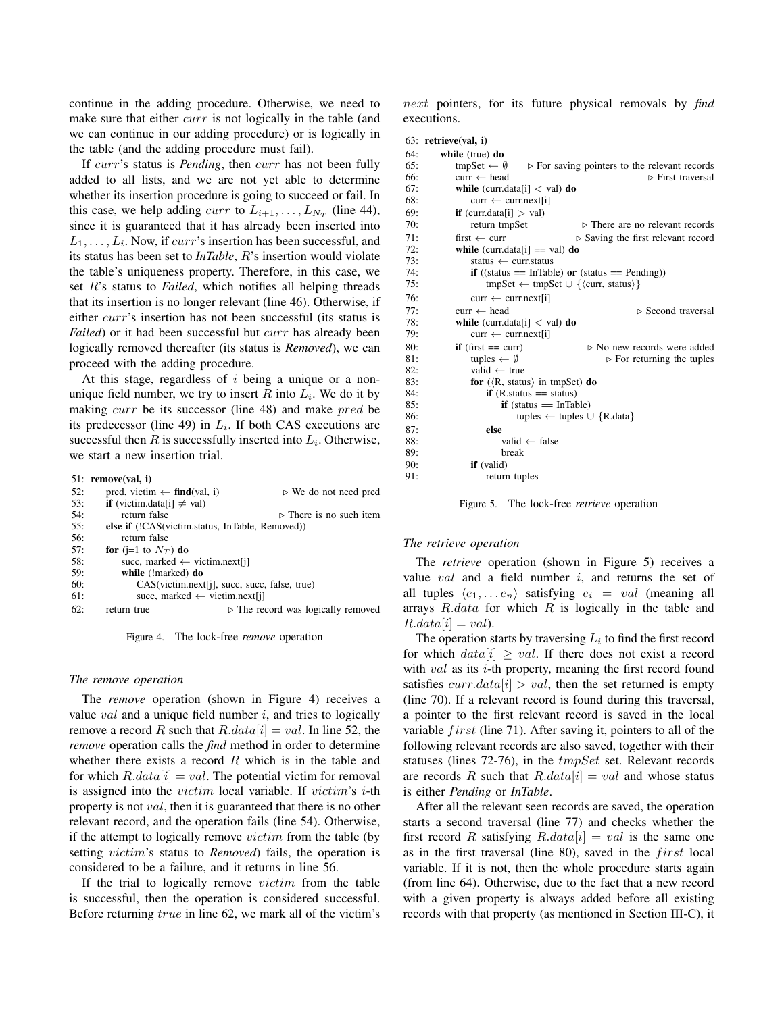continue in the adding procedure. Otherwise, we need to make sure that either *curr* is not logically in the table (and we can continue in our adding procedure) or is logically in the table (and the adding procedure must fail).

If curr's status is *Pending*, then curr has not been fully added to all lists, and we are not yet able to determine whether its insertion procedure is going to succeed or fail. In this case, we help adding *curr* to  $L_{i+1}, \ldots, L_{N_T}$  (line 44), since it is guaranteed that it has already been inserted into  $L_1, \ldots, L_i$ . Now, if  $curr$ 's insertion has been successful, and its status has been set to *InTable*, R's insertion would violate the table's uniqueness property. Therefore, in this case, we set R's status to *Failed*, which notifies all helping threads that its insertion is no longer relevant (line 46). Otherwise, if either curr's insertion has not been successful (its status is *Failed*) or it had been successful but *curr* has already been logically removed thereafter (its status is *Removed*), we can proceed with the adding procedure.

At this stage, regardless of  $i$  being a unique or a nonunique field number, we try to insert R into  $L_i$ . We do it by making curr be its successor (line 48) and make pred be its predecessor (line 49) in  $L_i$ . If both CAS executions are successful then  $R$  is successfully inserted into  $L_i$ . Otherwise, we start a new insertion trial.

#### 51: remove(val, i)

| 52: | pred, victim $\leftarrow$ find(val, i)          | $\triangleright$ We do not need pred              |  |
|-----|-------------------------------------------------|---------------------------------------------------|--|
| 53: | <b>if</b> (victim.data[i] $\neq$ val)           |                                                   |  |
| 54: | return false                                    | $\triangleright$ There is no such item            |  |
| 55: | else if (!CAS(victim.status, InTable, Removed)) |                                                   |  |
| 56: | return false                                    |                                                   |  |
| 57: | for (j=1 to $N_T$ ) do                          |                                                   |  |
| 58: | succ, marked $\leftarrow$ victim.next[j]        |                                                   |  |
| 59: | while (!marked) do                              |                                                   |  |
| 60: | $CAS(victim.next[i], succ, succ, false, true)$  |                                                   |  |
| 61: | succ, marked $\leftarrow$ victim.next[j]        |                                                   |  |
| 62: | return true                                     | $\triangleright$ The record was logically removed |  |

Figure 4. The lock-free *remove* operation

### *The remove operation*

The *remove* operation (shown in Figure 4) receives a value  $val$  and a unique field number  $i$ , and tries to logically remove a record R such that  $R.data[i] = val$ . In line 52, the *remove* operation calls the *find* method in order to determine whether there exists a record  $R$  which is in the table and for which  $R.data[i] = val$ . The potential victim for removal is assigned into the *victim* local variable. If *victim's i*-th property is not val, then it is guaranteed that there is no other relevant record, and the operation fails (line 54). Otherwise, if the attempt to logically remove victim from the table (by setting victim's status to *Removed*) fails, the operation is considered to be a failure, and it returns in line 56.

If the trial to logically remove victim from the table is successful, then the operation is considered successful. Before returning true in line 62, we mark all of the victim's next pointers, for its future physical removals by *find* executions.

#### 63: retrieve(val, i)

```
64: while (true) do
65: tmpSet \leftarrow \emptyset \rightarrow For saving pointers to the relevant records
```

|     |                                                                    | r 1 or became pointers to the referent records    |  |
|-----|--------------------------------------------------------------------|---------------------------------------------------|--|
| 66: | $curr \leftarrow head$                                             | $\triangleright$ First traversal                  |  |
| 67: | while $(curr.data[i] < val)$ do                                    |                                                   |  |
| 68: | $curr \leftarrow curr.next[i]$                                     |                                                   |  |
| 69: | <b>if</b> (curr.data[i] $>$ val)                                   |                                                   |  |
| 70: | return tmpSet                                                      | $\triangleright$ There are no relevant records    |  |
| 71: | first $\leftarrow$ curr                                            | $\triangleright$ Saving the first relevant record |  |
| 72: | while (curr.data[i] == val) do                                     |                                                   |  |
| 73: | status $\leftarrow$ curr.status                                    |                                                   |  |
| 74: | <b>if</b> ((status == InTable) or (status == Pending))             |                                                   |  |
| 75: | $tmpSet \leftarrow tmpSet \cup \{ \langle curr, status \rangle \}$ |                                                   |  |
| 76: | $curr \leftarrow curr.next[i]$                                     |                                                   |  |
| 77: | $curr \leftarrow head$                                             | $\triangleright$ Second traversal                 |  |
| 78: | <b>while</b> (curr.data[i] $\langle$ val) <b>do</b>                |                                                   |  |
| 79: | $curr \leftarrow curr.next[i]$                                     |                                                   |  |
| 80: | <b>if</b> (first $==$ curr)                                        | $\triangleright$ No new records were added        |  |
| 81: | tuples $\leftarrow \emptyset$                                      | $\triangleright$ For returning the tuples         |  |
| 82: | valid $\leftarrow$ true                                            |                                                   |  |
| 83: | for $(\langle R, \text{ status} \rangle)$ in tmpSet) do            |                                                   |  |
| 84: | <b>if</b> $(R$ . status == status)                                 |                                                   |  |
| 85: | $if$ (status == InTable)                                           |                                                   |  |
| 86: | tuples $\leftarrow$ tuples $\cup$ {R.data}                         |                                                   |  |
| 87: | else                                                               |                                                   |  |
| 88: | valid $\leftarrow$ false                                           |                                                   |  |
| 89: | break                                                              |                                                   |  |
| 90: | <b>if</b> (valid)                                                  |                                                   |  |
| 91: | return tuples                                                      |                                                   |  |
|     |                                                                    |                                                   |  |

Figure 5. The lock-free *retrieve* operation

#### *The retrieve operation*

The *retrieve* operation (shown in Figure 5) receives a value  $val$  and a field number  $i$ , and returns the set of all tuples  $\langle e_1, \ldots e_n \rangle$  satisfying  $e_i = val$  (meaning all arrays  $R.data$  for which  $R$  is logically in the table and  $R.data[i] = val$ ).

The operation starts by traversing  $L_i$  to find the first record for which  $data[i] \geq val$ . If there does not exist a record with *val* as its *i*-th property, meaning the first record found satisfies  $curr.data[i] > val$ , then the set returned is empty (line 70). If a relevant record is found during this traversal, a pointer to the first relevant record is saved in the local variable  $first$  (line 71). After saving it, pointers to all of the following relevant records are also saved, together with their statuses (lines 72-76), in the tmpSet set. Relevant records are records R such that  $R.data[i] = val$  and whose status is either *Pending* or *InTable*.

After all the relevant seen records are saved, the operation starts a second traversal (line 77) and checks whether the first record R satisfying  $R.data[i] = val$  is the same one as in the first traversal (line 80), saved in the  $first$  local variable. If it is not, then the whole procedure starts again (from line 64). Otherwise, due to the fact that a new record with a given property is always added before all existing records with that property (as mentioned in Section III-C), it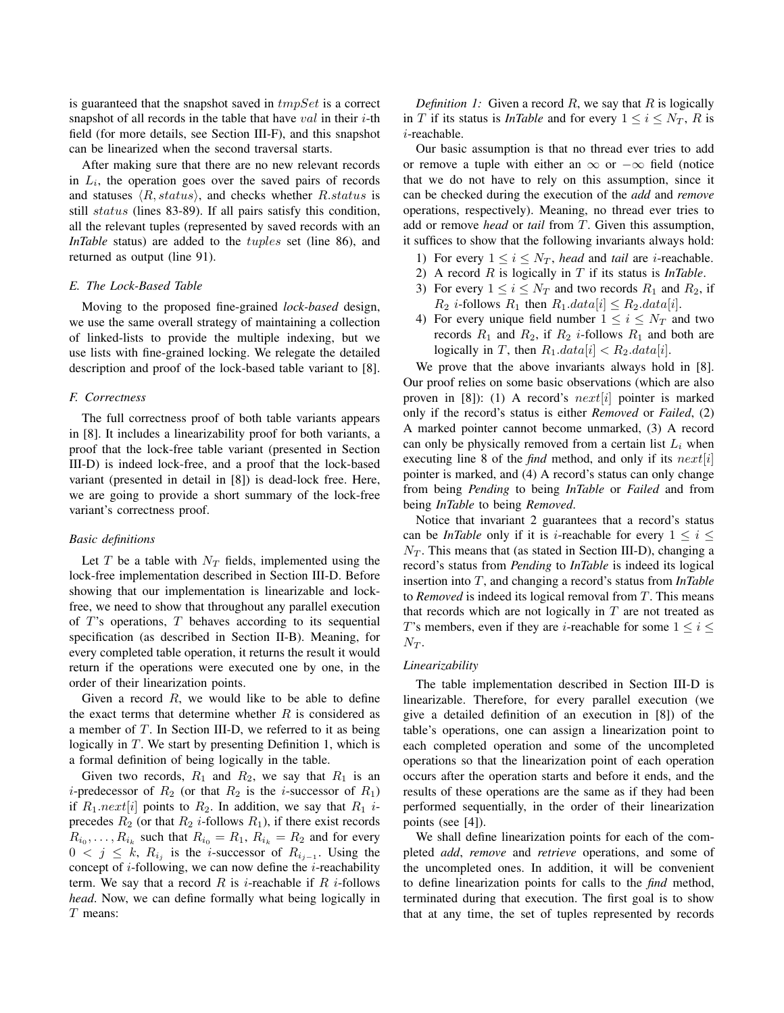is guaranteed that the snapshot saved in  $tmpSet$  is a correct snapshot of all records in the table that have  $val$  in their  $i$ -th field (for more details, see Section III-F), and this snapshot can be linearized when the second traversal starts.

After making sure that there are no new relevant records in  $L_i$ , the operation goes over the saved pairs of records and statuses  $\langle R, status \rangle$ , and checks whether R.status is still status (lines 83-89). If all pairs satisfy this condition, all the relevant tuples (represented by saved records with an *InTable* status) are added to the *tuples* set (line 86), and returned as output (line 91).

## *E. The Lock-Based Table*

Moving to the proposed fine-grained *lock-based* design, we use the same overall strategy of maintaining a collection of linked-lists to provide the multiple indexing, but we use lists with fine-grained locking. We relegate the detailed description and proof of the lock-based table variant to [8].

## *F. Correctness*

The full correctness proof of both table variants appears in [8]. It includes a linearizability proof for both variants, a proof that the lock-free table variant (presented in Section III-D) is indeed lock-free, and a proof that the lock-based variant (presented in detail in [8]) is dead-lock free. Here, we are going to provide a short summary of the lock-free variant's correctness proof.

### *Basic definitions*

Let  $T$  be a table with  $N_T$  fields, implemented using the lock-free implementation described in Section III-D. Before showing that our implementation is linearizable and lockfree, we need to show that throughout any parallel execution of  $T$ 's operations,  $T$  behaves according to its sequential specification (as described in Section II-B). Meaning, for every completed table operation, it returns the result it would return if the operations were executed one by one, in the order of their linearization points.

Given a record  $R$ , we would like to be able to define the exact terms that determine whether  $R$  is considered as a member of  $T$ . In Section III-D, we referred to it as being logically in T. We start by presenting Definition 1, which is a formal definition of being logically in the table.

Given two records,  $R_1$  and  $R_2$ , we say that  $R_1$  is an *i*-predecessor of  $R_2$  (or that  $R_2$  is the *i*-successor of  $R_1$ ) if  $R_1.next[i]$  points to  $R_2$ . In addition, we say that  $R_1$  *i*precedes  $R_2$  (or that  $R_2$  *i*-follows  $R_1$ ), if there exist records  $R_{i_0}, \ldots, R_{i_k}$  such that  $R_{i_0} = R_1$ ,  $R_{i_k} = R_2$  and for every  $0 \lt j \leq k$ ,  $R_{i_j}$  is the *i*-successor of  $R_{i_{j-1}}$ . Using the concept of  $i$ -following, we can now define the  $i$ -reachability term. We say that a record R is *i*-reachable if R *i*-follows *head*. Now, we can define formally what being logically in T means:

*Definition 1:* Given a record  $R$ , we say that  $R$  is logically in T if its status is *InTable* and for every  $1 \le i \le N_T$ , R is i-reachable.

Our basic assumption is that no thread ever tries to add or remove a tuple with either an  $\infty$  or  $-\infty$  field (notice that we do not have to rely on this assumption, since it can be checked during the execution of the *add* and *remove* operations, respectively). Meaning, no thread ever tries to add or remove *head* or *tail* from T. Given this assumption, it suffices to show that the following invariants always hold:

- 1) For every  $1 \le i \le N_T$ , *head* and *tail* are *i*-reachable.
- 2) A record R is logically in T if its status is *InTable*.
- 3) For every  $1 \le i \le N_T$  and two records  $R_1$  and  $R_2$ , if  $R_2$  *i*-follows  $R_1$  then  $R_1.data[i] \leq R_2.data[i]$ .
- 4) For every unique field number  $1 \le i \le N_T$  and two records  $R_1$  and  $R_2$ , if  $R_2$  *i*-follows  $R_1$  and both are logically in T, then  $R_1.data[i] < R_2.data[i]$ .

We prove that the above invariants always hold in [8]. Our proof relies on some basic observations (which are also proven in [8]): (1) A record's  $next[i]$  pointer is marked only if the record's status is either *Removed* or *Failed*, (2) A marked pointer cannot become unmarked, (3) A record can only be physically removed from a certain list  $L_i$  when executing line 8 of the *find* method, and only if its  $next[i]$ pointer is marked, and (4) A record's status can only change from being *Pending* to being *InTable* or *Failed* and from being *InTable* to being *Removed*.

Notice that invariant 2 guarantees that a record's status can be *InTable* only if it is *i*-reachable for every  $1 \le i \le$  $N_T$ . This means that (as stated in Section III-D), changing a record's status from *Pending* to *InTable* is indeed its logical insertion into T, and changing a record's status from *InTable* to *Removed* is indeed its logical removal from T. This means that records which are not logically in  $T$  are not treated as T's members, even if they are *i*-reachable for some  $1 \le i \le$  $N_T$ .

## *Linearizability*

The table implementation described in Section III-D is linearizable. Therefore, for every parallel execution (we give a detailed definition of an execution in [8]) of the table's operations, one can assign a linearization point to each completed operation and some of the uncompleted operations so that the linearization point of each operation occurs after the operation starts and before it ends, and the results of these operations are the same as if they had been performed sequentially, in the order of their linearization points (see [4]).

We shall define linearization points for each of the completed *add*, *remove* and *retrieve* operations, and some of the uncompleted ones. In addition, it will be convenient to define linearization points for calls to the *find* method, terminated during that execution. The first goal is to show that at any time, the set of tuples represented by records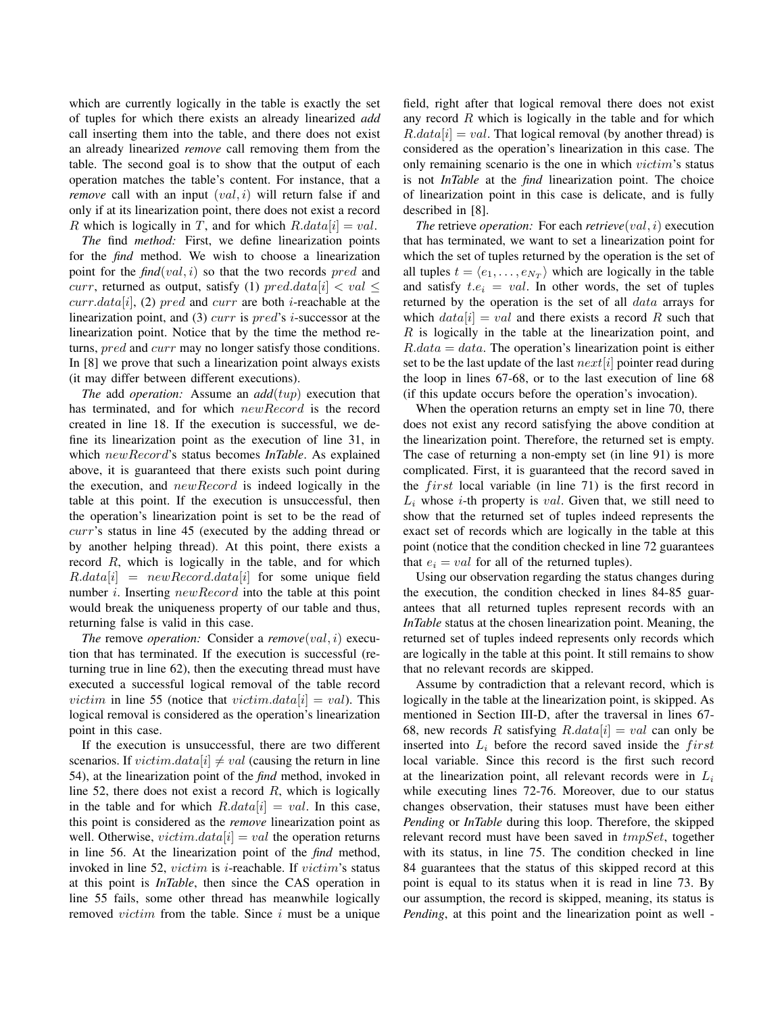which are currently logically in the table is exactly the set of tuples for which there exists an already linearized *add* call inserting them into the table, and there does not exist an already linearized *remove* call removing them from the table. The second goal is to show that the output of each operation matches the table's content. For instance, that a *remove* call with an input  $(val, i)$  will return false if and only if at its linearization point, there does not exist a record R which is logically in T, and for which  $R.data[i] = val$ .

*The* find *method:* First, we define linearization points for the *find* method. We wish to choose a linearization point for the *find*(*val*, *i*) so that the two records *pred* and curr, returned as output, satisfy (1) pred.data[i]  $\langle val \leq$  $curr.data[i], (2) pred and curr are both i-reachable at the$ linearization point, and  $(3)$  curr is pred's *i*-successor at the linearization point. Notice that by the time the method returns, pred and curr may no longer satisfy those conditions. In [8] we prove that such a linearization point always exists (it may differ between different executions).

*The* add *operation:* Assume an *add*(tup) execution that has terminated, and for which newRecord is the record created in line 18. If the execution is successful, we define its linearization point as the execution of line 31, in which newRecord's status becomes *InTable*. As explained above, it is guaranteed that there exists such point during the execution, and newRecord is indeed logically in the table at this point. If the execution is unsuccessful, then the operation's linearization point is set to be the read of curr's status in line 45 (executed by the adding thread or by another helping thread). At this point, there exists a record R, which is logically in the table, and for which  $R.data[i] = newRecord.data[i]$  for some unique field number *i*. Inserting *newRecord* into the table at this point would break the uniqueness property of our table and thus, returning false is valid in this case.

*The* remove *operation:* Consider a *remove*(val, i) execution that has terminated. If the execution is successful (returning true in line 62), then the executing thread must have executed a successful logical removal of the table record *victim* in line 55 (notice that *victim.data*[i] = *val*). This logical removal is considered as the operation's linearization point in this case.

If the execution is unsuccessful, there are two different scenarios. If  $victim.data[i] \neq val$  (causing the return in line 54), at the linearization point of the *find* method, invoked in line 52, there does not exist a record  $R$ , which is logically in the table and for which  $R.data[i] = val$ . In this case, this point is considered as the *remove* linearization point as well. Otherwise,  $victim.data[i] = val$  the operation returns in line 56. At the linearization point of the *find* method, invoked in line 52, *victim* is *i*-reachable. If *victim's* status at this point is *InTable*, then since the CAS operation in line 55 fails, some other thread has meanwhile logically removed  $victim$  from the table. Since  $i$  must be a unique field, right after that logical removal there does not exist any record  $R$  which is logically in the table and for which  $R.data[i] = val.$  That logical removal (by another thread) is considered as the operation's linearization in this case. The only remaining scenario is the one in which *victim's* status is not *InTable* at the *find* linearization point. The choice of linearization point in this case is delicate, and is fully described in [8].

*The* retrieve *operation:* For each *retrieve*(val, i) execution that has terminated, we want to set a linearization point for which the set of tuples returned by the operation is the set of all tuples  $t = \langle e_1, \dots, e_{N_T} \rangle$  which are logically in the table and satisfy  $t.e_i = val$ . In other words, the set of tuples returned by the operation is the set of all data arrays for which  $data[i] = val$  and there exists a record R such that  $R$  is logically in the table at the linearization point, and  $R.data = data$ . The operation's linearization point is either set to be the last update of the last  $next[i]$  pointer read during the loop in lines 67-68, or to the last execution of line 68 (if this update occurs before the operation's invocation).

When the operation returns an empty set in line 70, there does not exist any record satisfying the above condition at the linearization point. Therefore, the returned set is empty. The case of returning a non-empty set (in line 91) is more complicated. First, it is guaranteed that the record saved in the  $first$  local variable (in line 71) is the first record in  $L_i$  whose *i*-th property is *val*. Given that, we still need to show that the returned set of tuples indeed represents the exact set of records which are logically in the table at this point (notice that the condition checked in line 72 guarantees that  $e_i = val$  for all of the returned tuples).

Using our observation regarding the status changes during the execution, the condition checked in lines 84-85 guarantees that all returned tuples represent records with an *InTable* status at the chosen linearization point. Meaning, the returned set of tuples indeed represents only records which are logically in the table at this point. It still remains to show that no relevant records are skipped.

Assume by contradiction that a relevant record, which is logically in the table at the linearization point, is skipped. As mentioned in Section III-D, after the traversal in lines 67- 68, new records R satisfying  $R.data[i] = val$  can only be inserted into  $L_i$  before the record saved inside the first local variable. Since this record is the first such record at the linearization point, all relevant records were in  $L_i$ while executing lines 72-76. Moreover, due to our status changes observation, their statuses must have been either *Pending* or *InTable* during this loop. Therefore, the skipped relevant record must have been saved in tmpSet, together with its status, in line 75. The condition checked in line 84 guarantees that the status of this skipped record at this point is equal to its status when it is read in line 73. By our assumption, the record is skipped, meaning, its status is *Pending*, at this point and the linearization point as well -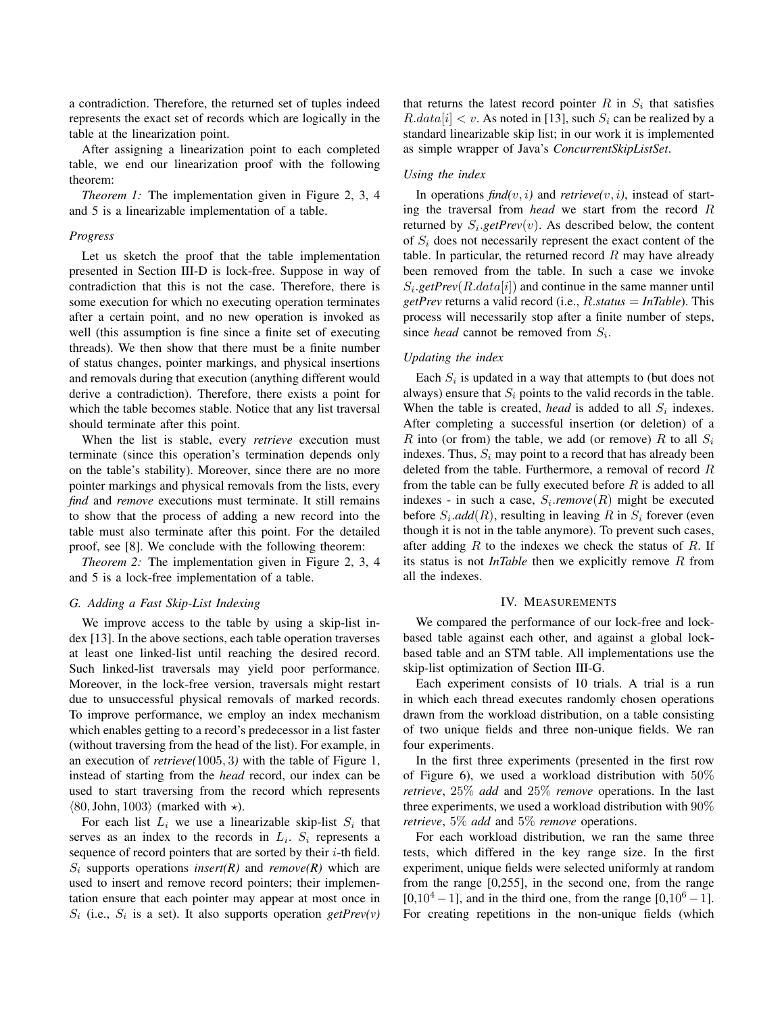a contradiction. Therefore, the returned set of tuples indeed represents the exact set of records which are logically in the table at the linearization point.

After assigning a linearization point to each completed table, we end our linearization proof with the following theorem:

*Theorem 1:* The implementation given in Figure 2, 3, 4 and 5 is a linearizable implementation of a table.

#### *Progress*

Let us sketch the proof that the table implementation presented in Section III-D is lock-free. Suppose in way of contradiction that this is not the case. Therefore, there is some execution for which no executing operation terminates after a certain point, and no new operation is invoked as well (this assumption is fine since a finite set of executing threads). We then show that there must be a finite number of status changes, pointer markings, and physical insertions and removals during that execution (anything different would derive a contradiction). Therefore, there exists a point for which the table becomes stable. Notice that any list traversal should terminate after this point.

When the list is stable, every *retrieve* execution must terminate (since this operation's termination depends only on the table's stability). Moreover, since there are no more pointer markings and physical removals from the lists, every *find* and *remove* executions must terminate. It still remains to show that the process of adding a new record into the table must also terminate after this point. For the detailed proof, see [8]. We conclude with the following theorem:

*Theorem 2:* The implementation given in Figure 2, 3, 4 and 5 is a lock-free implementation of a table.

## *G. Adding a Fast Skip-List Indexing*

We improve access to the table by using a skip-list index [13]. In the above sections, each table operation traverses at least one linked-list until reaching the desired record. Such linked-list traversals may yield poor performance. Moreover, in the lock-free version, traversals might restart due to unsuccessful physical removals of marked records. To improve performance, we employ an index mechanism which enables getting to a record's predecessor in a list faster (without traversing from the head of the list). For example, in an execution of *retrieve(*1005, 3*)* with the table of Figure 1, instead of starting from the *head* record, our index can be used to start traversing from the record which represents  $\langle 80, \text{John}, 1003 \rangle$  (marked with  $\star$ ).

For each list  $L_i$  we use a linearizable skip-list  $S_i$  that serves as an index to the records in  $L_i$ .  $S_i$  represents a sequence of record pointers that are sorted by their  $i$ -th field.  $S_i$  supports operations *insert(R)* and *remove(R)* which are used to insert and remove record pointers; their implementation ensure that each pointer may appear at most once in  $S_i$  (i.e.,  $S_i$  is a set). It also supports operation *getPrev(v)* 

that returns the latest record pointer  $R$  in  $S_i$  that satisfies  $R.data[i] < v$ . As noted in [13], such  $S_i$  can be realized by a standard linearizable skip list; in our work it is implemented as simple wrapper of Java's *ConcurrentSkipListSet*.

## *Using the index*

In operations  $find(v, i)$  and  $retrieve(v, i)$ , instead of starting the traversal from *head* we start from the record R returned by  $S_i$ *getPrev* $(v)$ . As described below, the content of  $S_i$  does not necessarily represent the exact content of the table. In particular, the returned record  $R$  may have already been removed from the table. In such a case we invoke  $S_i.getPrev(R.data[i])$  and continue in the same manner until *getPrev* returns a valid record (i.e., R.*status* = *InTable*). This process will necessarily stop after a finite number of steps, since *head* cannot be removed from  $S_i$ .

## *Updating the index*

Each  $S_i$  is updated in a way that attempts to (but does not always) ensure that  $S_i$  points to the valid records in the table. When the table is created, *head* is added to all  $S_i$  indexes. After completing a successful insertion (or deletion) of a R into (or from) the table, we add (or remove) R to all  $S_i$ indexes. Thus,  $S_i$  may point to a record that has already been deleted from the table. Furthermore, a removal of record R from the table can be fully executed before  $R$  is added to all indexes - in such a case,  $S_i$ *remove*( $R$ ) might be executed before  $S_i$ *add* $(R)$ , resulting in leaving R in  $S_i$  forever (even though it is not in the table anymore). To prevent such cases, after adding  $R$  to the indexes we check the status of  $R$ . If its status is not *InTable* then we explicitly remove R from all the indexes.

#### IV. MEASUREMENTS

We compared the performance of our lock-free and lockbased table against each other, and against a global lockbased table and an STM table. All implementations use the skip-list optimization of Section III-G.

Each experiment consists of 10 trials. A trial is a run in which each thread executes randomly chosen operations drawn from the workload distribution, on a table consisting of two unique fields and three non-unique fields. We ran four experiments.

In the first three experiments (presented in the first row of Figure 6), we used a workload distribution with  $50\%$ *retrieve*, 25% *add* and 25% *remove* operations. In the last three experiments, we used a workload distribution with 90% *retrieve*, 5% *add* and 5% *remove* operations.

For each workload distribution, we ran the same three tests, which differed in the key range size. In the first experiment, unique fields were selected uniformly at random from the range [0,255], in the second one, from the range  $[0,10^4 - 1]$ , and in the third one, from the range  $[0,10^6 - 1]$ . For creating repetitions in the non-unique fields (which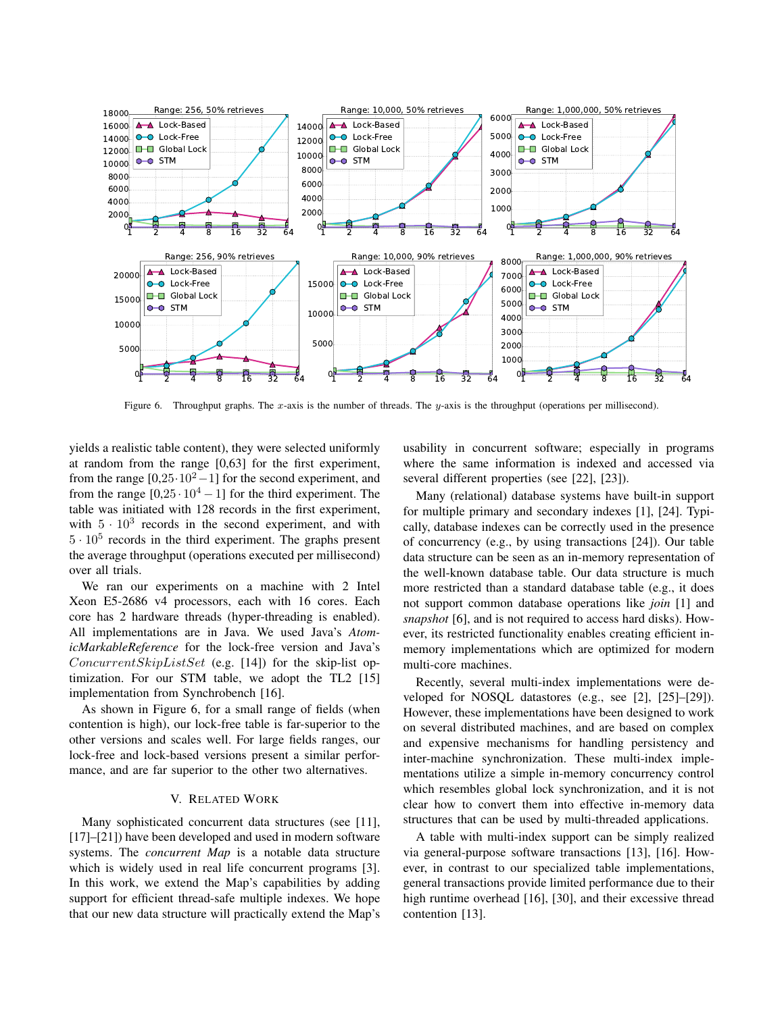

Figure 6. Throughput graphs. The x-axis is the number of threads. The y-axis is the throughput (operations per millisecond).

yields a realistic table content), they were selected uniformly at random from the range [0,63] for the first experiment, from the range  $[0,25\cdot10^2-1]$  for the second experiment, and from the range  $[0,25 \cdot 10^4 - 1]$  for the third experiment. The table was initiated with 128 records in the first experiment, with  $5 \cdot 10^3$  records in the second experiment, and with  $5 \cdot 10^5$  records in the third experiment. The graphs present the average throughput (operations executed per millisecond) over all trials.

We ran our experiments on a machine with 2 Intel Xeon E5-2686 v4 processors, each with 16 cores. Each core has 2 hardware threads (hyper-threading is enabled). All implementations are in Java. We used Java's *AtomicMarkableReference* for the lock-free version and Java's ConcurrentSkipListSet (e.g. [14]) for the skip-list optimization. For our STM table, we adopt the TL2 [15] implementation from Synchrobench [16].

As shown in Figure 6, for a small range of fields (when contention is high), our lock-free table is far-superior to the other versions and scales well. For large fields ranges, our lock-free and lock-based versions present a similar performance, and are far superior to the other two alternatives.

## V. RELATED WORK

Many sophisticated concurrent data structures (see [11], [17]–[21]) have been developed and used in modern software systems. The *concurrent Map* is a notable data structure which is widely used in real life concurrent programs [3]. In this work, we extend the Map's capabilities by adding support for efficient thread-safe multiple indexes. We hope that our new data structure will practically extend the Map's usability in concurrent software; especially in programs where the same information is indexed and accessed via several different properties (see [22], [23]).

Many (relational) database systems have built-in support for multiple primary and secondary indexes [1], [24]. Typically, database indexes can be correctly used in the presence of concurrency (e.g., by using transactions [24]). Our table data structure can be seen as an in-memory representation of the well-known database table. Our data structure is much more restricted than a standard database table (e.g., it does not support common database operations like *join* [1] and *snapshot* [6], and is not required to access hard disks). However, its restricted functionality enables creating efficient inmemory implementations which are optimized for modern multi-core machines.

Recently, several multi-index implementations were developed for NOSQL datastores (e.g., see [2], [25]–[29]). However, these implementations have been designed to work on several distributed machines, and are based on complex and expensive mechanisms for handling persistency and inter-machine synchronization. These multi-index implementations utilize a simple in-memory concurrency control which resembles global lock synchronization, and it is not clear how to convert them into effective in-memory data structures that can be used by multi-threaded applications.

A table with multi-index support can be simply realized via general-purpose software transactions [13], [16]. However, in contrast to our specialized table implementations, general transactions provide limited performance due to their high runtime overhead [16], [30], and their excessive thread contention [13].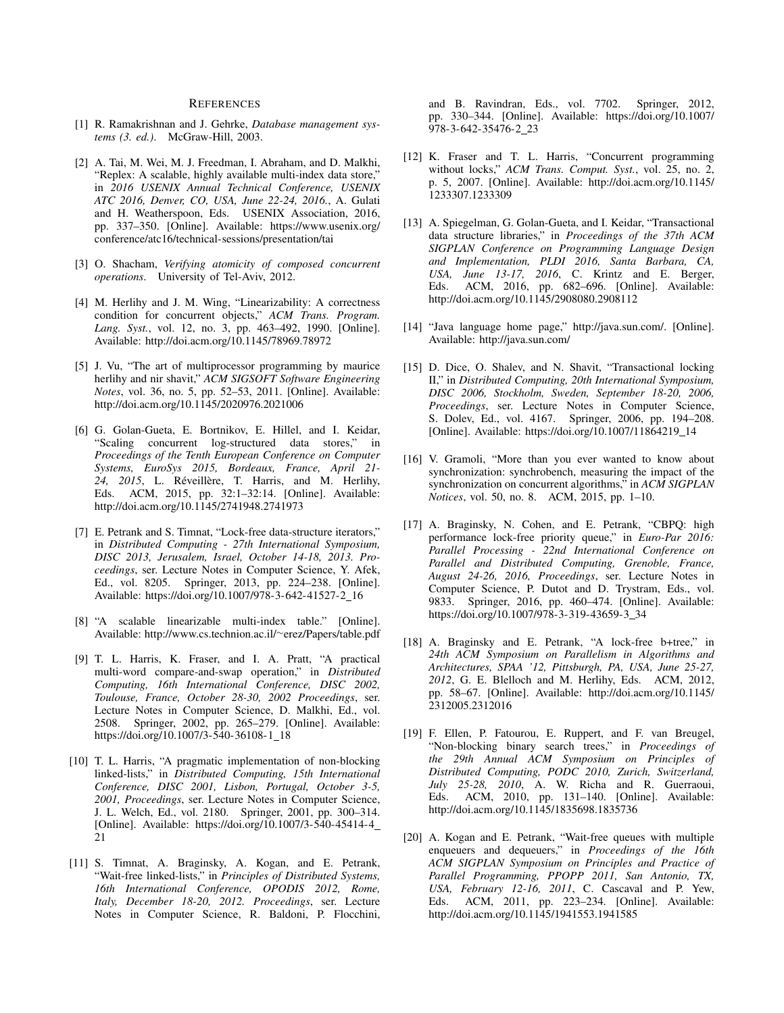#### **REFERENCES**

- [1] R. Ramakrishnan and J. Gehrke, *Database management systems (3. ed.)*. McGraw-Hill, 2003.
- [2] A. Tai, M. Wei, M. J. Freedman, I. Abraham, and D. Malkhi, "Replex: A scalable, highly available multi-index data store," in *2016 USENIX Annual Technical Conference, USENIX ATC 2016, Denver, CO, USA, June 22-24, 2016.*, A. Gulati and H. Weatherspoon, Eds. USENIX Association, 2016, pp. 337–350. [Online]. Available: https://www.usenix.org/ conference/atc16/technical-sessions/presentation/tai
- [3] O. Shacham, *Verifying atomicity of composed concurrent operations*. University of Tel-Aviv, 2012.
- [4] M. Herlihy and J. M. Wing, "Linearizability: A correctness condition for concurrent objects," *ACM Trans. Program. Lang. Syst.*, vol. 12, no. 3, pp. 463–492, 1990. [Online]. Available: http://doi.acm.org/10.1145/78969.78972
- [5] J. Vu, "The art of multiprocessor programming by maurice herlihy and nir shavit," *ACM SIGSOFT Software Engineering Notes*, vol. 36, no. 5, pp. 52–53, 2011. [Online]. Available: http://doi.acm.org/10.1145/2020976.2021006
- [6] G. Golan-Gueta, E. Bortnikov, E. Hillel, and I. Keidar, "Scaling concurrent log-structured data stores," in *Proceedings of the Tenth European Conference on Computer Systems, EuroSys 2015, Bordeaux, France, April 21-* 24, 2015, L. Réveillère, T. Harris, and M. Herlihy, Eds. ACM, 2015, pp. 32:1–32:14. [Online]. Available: http://doi.acm.org/10.1145/2741948.2741973
- [7] E. Petrank and S. Timnat, "Lock-free data-structure iterators," in *Distributed Computing - 27th International Symposium, DISC 2013, Jerusalem, Israel, October 14-18, 2013. Proceedings*, ser. Lecture Notes in Computer Science, Y. Afek, Ed., vol. 8205. Springer, 2013, pp. 224–238. [Online]. Available: https://doi.org/10.1007/978-3-642-41527-2 16
- [8] "A scalable linearizable multi-index table." [Online]. Available: http://www.cs.technion.ac.il/∼erez/Papers/table.pdf
- [9] T. L. Harris, K. Fraser, and I. A. Pratt, "A practical multi-word compare-and-swap operation," in *Distributed Computing, 16th International Conference, DISC 2002, Toulouse, France, October 28-30, 2002 Proceedings*, ser. Lecture Notes in Computer Science, D. Malkhi, Ed., vol. 2508. Springer, 2002, pp. 265–279. [Online]. Available: https://doi.org/10.1007/3-540-36108-1\_18
- [10] T. L. Harris, "A pragmatic implementation of non-blocking linked-lists," in *Distributed Computing, 15th International Conference, DISC 2001, Lisbon, Portugal, October 3-5, 2001, Proceedings*, ser. Lecture Notes in Computer Science, J. L. Welch, Ed., vol. 2180. Springer, 2001, pp. 300–314. [Online]. Available: https://doi.org/10.1007/3-540-45414-4 21
- [11] S. Timnat, A. Braginsky, A. Kogan, and E. Petrank, "Wait-free linked-lists," in *Principles of Distributed Systems, 16th International Conference, OPODIS 2012, Rome, Italy, December 18-20, 2012. Proceedings*, ser. Lecture Notes in Computer Science, R. Baldoni, P. Flocchini,

and B. Ravindran, Eds., vol. 7702. Springer, 2012, pp. 330–344. [Online]. Available: https://doi.org/10.1007/ 978-3-642-35476-2 23

- [12] K. Fraser and T. L. Harris, "Concurrent programming without locks," *ACM Trans. Comput. Syst.*, vol. 25, no. 2, p. 5, 2007. [Online]. Available: http://doi.acm.org/10.1145/ 1233307.1233309
- [13] A. Spiegelman, G. Golan-Gueta, and I. Keidar, "Transactional data structure libraries," in *Proceedings of the 37th ACM SIGPLAN Conference on Programming Language Design and Implementation, PLDI 2016, Santa Barbara, CA, USA, June 13-17, 2016*, C. Krintz and E. Berger, Eds. ACM, 2016, pp. 682–696. [Online]. Available: http://doi.acm.org/10.1145/2908080.2908112
- [14] "Java language home page," http://java.sun.com/. [Online]. Available: http://java.sun.com/
- [15] D. Dice, O. Shalev, and N. Shavit, "Transactional locking II," in *Distributed Computing, 20th International Symposium, DISC 2006, Stockholm, Sweden, September 18-20, 2006, Proceedings*, ser. Lecture Notes in Computer Science, S. Dolev, Ed., vol. 4167. Springer, 2006, pp. 194–208. [Online]. Available: https://doi.org/10.1007/11864219 14
- [16] V. Gramoli, "More than you ever wanted to know about synchronization: synchrobench, measuring the impact of the synchronization on concurrent algorithms," in *ACM SIGPLAN Notices*, vol. 50, no. 8. ACM, 2015, pp. 1–10.
- [17] A. Braginsky, N. Cohen, and E. Petrank, "CBPQ: high performance lock-free priority queue," in *Euro-Par 2016: Parallel Processing - 22nd International Conference on Parallel and Distributed Computing, Grenoble, France, August 24-26, 2016, Proceedings*, ser. Lecture Notes in Computer Science, P. Dutot and D. Trystram, Eds., vol. 9833. Springer, 2016, pp. 460–474. [Online]. Available: https://doi.org/10.1007/978-3-319-43659-3 34
- [18] A. Braginsky and E. Petrank, "A lock-free b+tree," in *24th ACM Symposium on Parallelism in Algorithms and Architectures, SPAA '12, Pittsburgh, PA, USA, June 25-27, 2012*, G. E. Blelloch and M. Herlihy, Eds. ACM, 2012, pp. 58–67. [Online]. Available: http://doi.acm.org/10.1145/ 2312005.2312016
- [19] F. Ellen, P. Fatourou, E. Ruppert, and F. van Breugel, "Non-blocking binary search trees," in *Proceedings of the 29th Annual ACM Symposium on Principles of Distributed Computing, PODC 2010, Zurich, Switzerland, July 25-28, 2010*, A. W. Richa and R. Guerraoui, Eds. ACM, 2010, pp. 131–140. [Online]. Available: http://doi.acm.org/10.1145/1835698.1835736
- [20] A. Kogan and E. Petrank, "Wait-free queues with multiple enqueuers and dequeuers," in *Proceedings of the 16th ACM SIGPLAN Symposium on Principles and Practice of Parallel Programming, PPOPP 2011, San Antonio, TX, USA, February 12-16, 2011*, C. Cascaval and P. Yew, Eds. ACM, 2011, pp. 223–234. [Online]. Available: http://doi.acm.org/10.1145/1941553.1941585